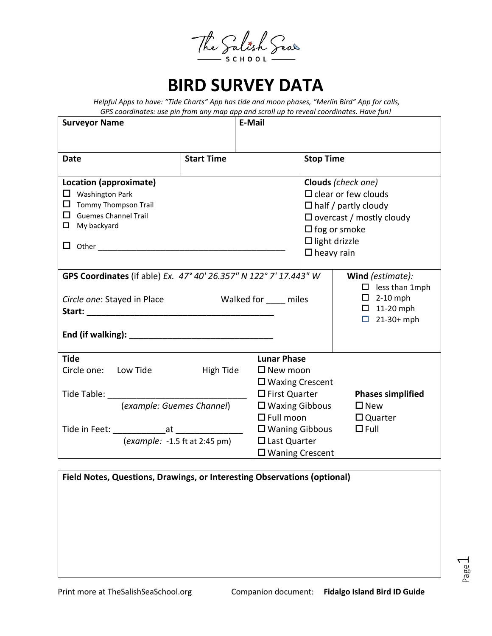The Salish Seas

## **BIRD SURVEY DATA**

*Helpful Apps to have: "Tide Charts" App has tide and moon phases, "Merlin Bird" App for calls, GPS coordinates: use pin from any map app and scroll up to reveal coordinates. Have fun!* 

| <b>Surveyor Name</b>                                                                                                                 |                        | <b>E-Mail</b>                                                                                                                                                                          |                                                                                  |                                 |
|--------------------------------------------------------------------------------------------------------------------------------------|------------------------|----------------------------------------------------------------------------------------------------------------------------------------------------------------------------------------|----------------------------------------------------------------------------------|---------------------------------|
|                                                                                                                                      |                        |                                                                                                                                                                                        |                                                                                  |                                 |
| <b>Date</b>                                                                                                                          | <b>Start Time</b>      |                                                                                                                                                                                        | <b>Stop Time</b>                                                                 |                                 |
| Location (approximate)<br>$\Box$ Washington Park<br>$\Box$ Tommy Thompson Trail<br>$\Box$ Guemes Channel Trail<br>$\Box$ My backyard |                        | Clouds (check one)<br>$\Box$ clear or few clouds<br>$\Box$ half / partly cloudy<br>$\Box$ overcast / mostly cloudy<br>$\Box$ fog or smoke<br>$\Box$ light drizzle<br>$\Box$ heavy rain |                                                                                  |                                 |
| GPS Coordinates (if able) Ex. 47° 40' 26.357" N 122° 7' 17.443" W                                                                    |                        |                                                                                                                                                                                        |                                                                                  | Wind (estimate):                |
| Circle one: Stayed in Place                                                                                                          | Walked for _____ miles |                                                                                                                                                                                        | $\Box$ less than 1mph<br>$\Box$ 2-10 mph<br>$\Box$ 11-20 mph<br>$21-30+mph$<br>0 |                                 |
| <b>Tide</b>                                                                                                                          |                        | <b>Lunar Phase</b>                                                                                                                                                                     |                                                                                  |                                 |
| Circle one: Low Tide<br>Tide Table: _______________                                                                                  | <b>High Tide</b>       | $\square$ New moon                                                                                                                                                                     | $\Box$ Waxing Crescent<br>$\square$ First Quarter<br><b>Phases simplified</b>    |                                 |
| (example: Guemes Channel)                                                                                                            |                        | $\square$ Waxing Gibbous<br>$\Box$ Full moon                                                                                                                                           |                                                                                  | $\square$ New<br>$\Box$ Quarter |
| (example: -1.5 ft at 2:45 pm)                                                                                                        |                        | $\Box$ Waning Gibbous<br>$\Box$ Last Quarter<br>$\Box$ Waning Crescent                                                                                                                 |                                                                                  | $\Box$ Full                     |

| Field Notes, Questions, Drawings, or Interesting Observations (optional) |  |  |  |  |  |
|--------------------------------------------------------------------------|--|--|--|--|--|
|                                                                          |  |  |  |  |  |
|                                                                          |  |  |  |  |  |
|                                                                          |  |  |  |  |  |
|                                                                          |  |  |  |  |  |
|                                                                          |  |  |  |  |  |

Page  $\overline{\phantom{0}}$